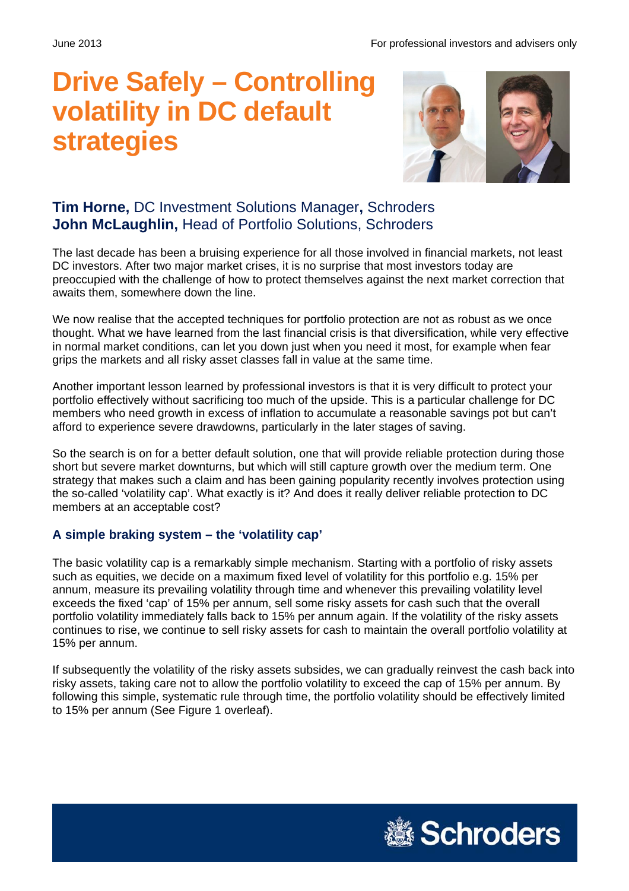# **Drive Safely – Controlling volatility in DC default strategies**



## **Tim Horne,** DC Investment Solutions Manager**,** Schroders **John McLaughlin,** Head of Portfolio Solutions, Schroders

The last decade has been a bruising experience for all those involved in financial markets, not least DC investors. After two major market crises, it is no surprise that most investors today are preoccupied with the challenge of how to protect themselves against the next market correction that awaits them, somewhere down the line.

We now realise that the accepted techniques for portfolio protection are not as robust as we once thought. What we have learned from the last financial crisis is that diversification, while very effective in normal market conditions, can let you down just when you need it most, for example when fear grips the markets and all risky asset classes fall in value at the same time.

Another important lesson learned by professional investors is that it is very difficult to protect your portfolio effectively without sacrificing too much of the upside. This is a particular challenge for DC members who need growth in excess of inflation to accumulate a reasonable savings pot but can't afford to experience severe drawdowns, particularly in the later stages of saving.

So the search is on for a better default solution, one that will provide reliable protection during those short but severe market downturns, but which will still capture growth over the medium term. One strategy that makes such a claim and has been gaining popularity recently involves protection using the so-called 'volatility cap'. What exactly is it? And does it really deliver reliable protection to DC members at an acceptable cost?

## **A simple braking system – the 'volatility cap'**

The basic volatility cap is a remarkably simple mechanism. Starting with a portfolio of risky assets such as equities, we decide on a maximum fixed level of volatility for this portfolio e.g. 15% per annum, measure its prevailing volatility through time and whenever this prevailing volatility level exceeds the fixed 'cap' of 15% per annum, sell some risky assets for cash such that the overall portfolio volatility immediately falls back to 15% per annum again. If the volatility of the risky assets continues to rise, we continue to sell risky assets for cash to maintain the overall portfolio volatility at 15% per annum.

If subsequently the volatility of the risky assets subsides, we can gradually reinvest the cash back into risky assets, taking care not to allow the portfolio volatility to exceed the cap of 15% per annum. By following this simple, systematic rule through time, the portfolio volatility should be effectively limited to 15% per annum (See Figure 1 overleaf).

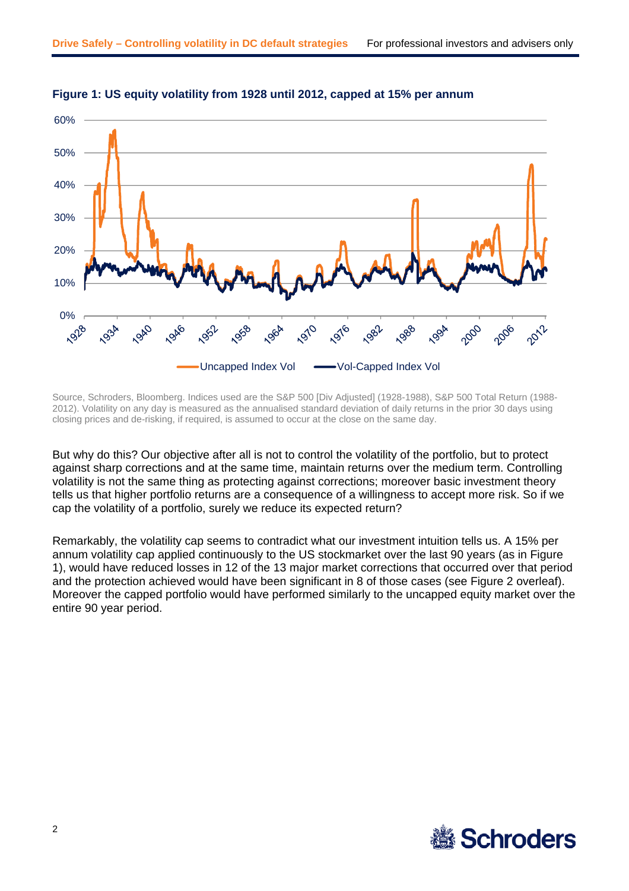

#### **Figure 1: US equity volatility from 1928 until 2012, capped at 15% per annum**

Source, Schroders, Bloomberg. Indices used are the S&P 500 [Div Adjusted] (1928-1988), S&P 500 Total Return (1988- 2012). Volatility on any day is measured as the annualised standard deviation of daily returns in the prior 30 days using closing prices and de-risking, if required, is assumed to occur at the close on the same day.

But why do this? Our objective after all is not to control the volatility of the portfolio, but to protect against sharp corrections and at the same time, maintain returns over the medium term. Controlling volatility is not the same thing as protecting against corrections; moreover basic investment theory tells us that higher portfolio returns are a consequence of a willingness to accept more risk. So if we cap the volatility of a portfolio, surely we reduce its expected return?

Remarkably, the volatility cap seems to contradict what our investment intuition tells us. A 15% per annum volatility cap applied continuously to the US stockmarket over the last 90 years (as in Figure 1), would have reduced losses in 12 of the 13 major market corrections that occurred over that period and the protection achieved would have been significant in 8 of those cases (see Figure 2 overleaf). Moreover the capped portfolio would have performed similarly to the uncapped equity market over the entire 90 year period.

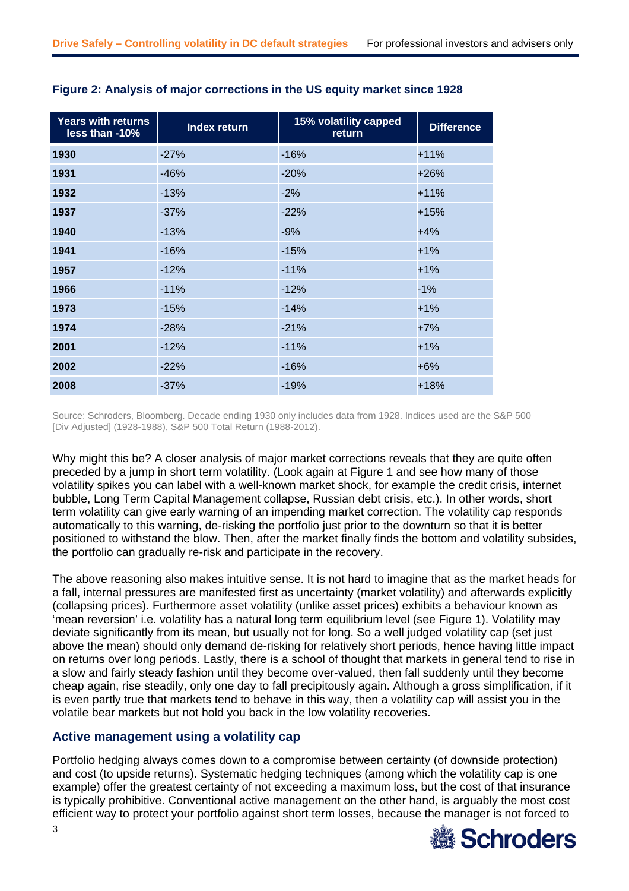| <b>Years with returns</b><br>less than -10% | <b>Index return</b> | 15% volatility capped<br>return | <b>Difference</b> |
|---------------------------------------------|---------------------|---------------------------------|-------------------|
| 1930                                        | $-27%$              | $-16%$                          | $+11%$            |
| 1931                                        | $-46%$              | $-20%$                          | $+26%$            |
| 1932                                        | $-13%$              | $-2%$                           | $+11%$            |
| 1937                                        | $-37%$              | $-22%$                          | $+15%$            |
| 1940                                        | $-13%$              | $-9%$                           | $+4%$             |
| 1941                                        | $-16%$              | $-15%$                          | $+1%$             |
| 1957                                        | $-12%$              | $-11%$                          | $+1%$             |
| 1966                                        | $-11%$              | $-12%$                          | $-1%$             |
| 1973                                        | $-15%$              | $-14%$                          | $+1%$             |
| 1974                                        | $-28%$              | $-21%$                          | $+7%$             |
| 2001                                        | $-12%$              | $-11%$                          | $+1%$             |
| 2002                                        | $-22%$              | $-16%$                          | $+6%$             |
| 2008                                        | $-37%$              | $-19%$                          | $+18%$            |

#### **Figure 2: Analysis of major corrections in the US equity market since 1928**

Source: Schroders, Bloomberg. Decade ending 1930 only includes data from 1928. Indices used are the S&P 500 [Div Adjusted] (1928-1988), S&P 500 Total Return (1988-2012).

Why might this be? A closer analysis of major market corrections reveals that they are quite often preceded by a jump in short term volatility. (Look again at Figure 1 and see how many of those volatility spikes you can label with a well-known market shock, for example the credit crisis, internet bubble, Long Term Capital Management collapse, Russian debt crisis, etc.). In other words, short term volatility can give early warning of an impending market correction. The volatility cap responds automatically to this warning, de-risking the portfolio just prior to the downturn so that it is better positioned to withstand the blow. Then, after the market finally finds the bottom and volatility subsides, the portfolio can gradually re-risk and participate in the recovery.

The above reasoning also makes intuitive sense. It is not hard to imagine that as the market heads for a fall, internal pressures are manifested first as uncertainty (market volatility) and afterwards explicitly (collapsing prices). Furthermore asset volatility (unlike asset prices) exhibits a behaviour known as 'mean reversion' i.e. volatility has a natural long term equilibrium level (see Figure 1). Volatility may deviate significantly from its mean, but usually not for long. So a well judged volatility cap (set just above the mean) should only demand de-risking for relatively short periods, hence having little impact on returns over long periods. Lastly, there is a school of thought that markets in general tend to rise in a slow and fairly steady fashion until they become over-valued, then fall suddenly until they become cheap again, rise steadily, only one day to fall precipitously again. Although a gross simplification, if it is even partly true that markets tend to behave in this way, then a volatility cap will assist you in the volatile bear markets but not hold you back in the low volatility recoveries.

### **Active management using a volatility cap**

Portfolio hedging always comes down to a compromise between certainty (of downside protection) and cost (to upside returns). Systematic hedging techniques (among which the volatility cap is one example) offer the greatest certainty of not exceeding a maximum loss, but the cost of that insurance is typically prohibitive. Conventional active management on the other hand, is arguably the most cost efficient way to protect your portfolio against short term losses, because the manager is not forced to

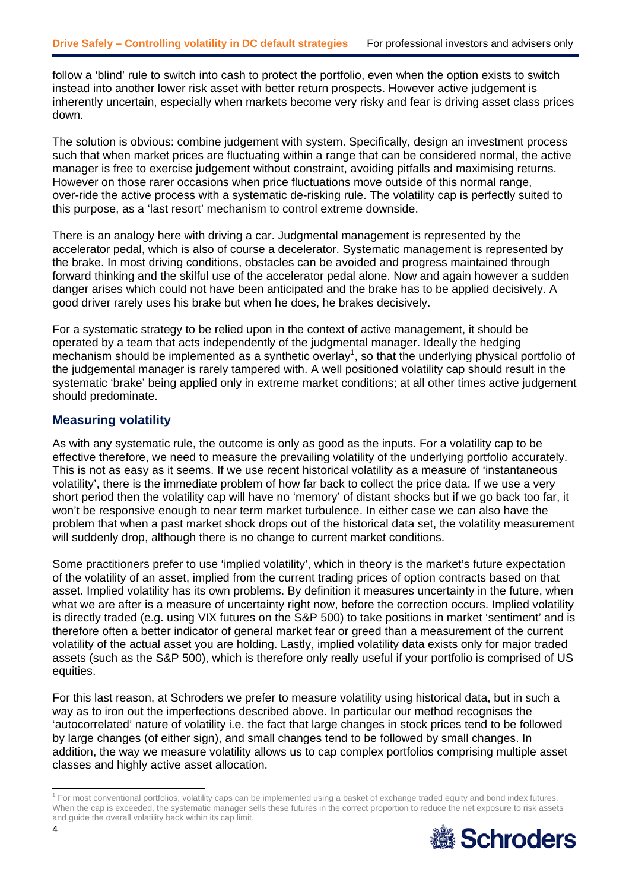follow a 'blind' rule to switch into cash to protect the portfolio, even when the option exists to switch instead into another lower risk asset with better return prospects. However active judgement is inherently uncertain, especially when markets become very risky and fear is driving asset class prices down.

The solution is obvious: combine judgement with system. Specifically, design an investment process such that when market prices are fluctuating within a range that can be considered normal, the active manager is free to exercise judgement without constraint, avoiding pitfalls and maximising returns. However on those rarer occasions when price fluctuations move outside of this normal range, over-ride the active process with a systematic de-risking rule. The volatility cap is perfectly suited to this purpose, as a 'last resort' mechanism to control extreme downside.

There is an analogy here with driving a car. Judgmental management is represented by the accelerator pedal, which is also of course a decelerator. Systematic management is represented by the brake. In most driving conditions, obstacles can be avoided and progress maintained through forward thinking and the skilful use of the accelerator pedal alone. Now and again however a sudden danger arises which could not have been anticipated and the brake has to be applied decisively. A good driver rarely uses his brake but when he does, he brakes decisively.

For a systematic strategy to be relied upon in the context of active management, it should be operated by a team that acts independently of the judgmental manager. Ideally the hedging mechanism should be implemented as a synthetic overlay<sup>1</sup>, so that the underlying physical portfolio of the judgemental manager is rarely tampered with. A well positioned volatility cap should result in the systematic 'brake' being applied only in extreme market conditions; at all other times active judgement should predominate.

## **Measuring volatility**

As with any systematic rule, the outcome is only as good as the inputs. For a volatility cap to be effective therefore, we need to measure the prevailing volatility of the underlying portfolio accurately. This is not as easy as it seems. If we use recent historical volatility as a measure of 'instantaneous volatility', there is the immediate problem of how far back to collect the price data. If we use a very short period then the volatility cap will have no 'memory' of distant shocks but if we go back too far, it won't be responsive enough to near term market turbulence. In either case we can also have the problem that when a past market shock drops out of the historical data set, the volatility measurement will suddenly drop, although there is no change to current market conditions.

Some practitioners prefer to use 'implied volatility', which in theory is the market's future expectation of the volatility of an asset, implied from the current trading prices of option contracts based on that asset. Implied volatility has its own problems. By definition it measures uncertainty in the future, when what we are after is a measure of uncertainty right now, before the correction occurs. Implied volatility is directly traded (e.g. using VIX futures on the S&P 500) to take positions in market 'sentiment' and is therefore often a better indicator of general market fear or greed than a measurement of the current volatility of the actual asset you are holding. Lastly, implied volatility data exists only for major traded assets (such as the S&P 500), which is therefore only really useful if your portfolio is comprised of US equities.

For this last reason, at Schroders we prefer to measure volatility using historical data, but in such a way as to iron out the imperfections described above. In particular our method recognises the 'autocorrelated' nature of volatility i.e. the fact that large changes in stock prices tend to be followed by large changes (of either sign), and small changes tend to be followed by small changes. In addition, the way we measure volatility allows us to cap complex portfolios comprising multiple asset classes and highly active asset allocation.

<sup>&</sup>lt;sup>1</sup> For most conventional portfolios, volatility caps can be implemented using a basket of exchange traded equity and bond index futures. When the cap is exceeded, the systematic manager sells these futures in the correct proportion to reduce the net exposure to risk assets and guide the overall volatility back within its cap limit.



l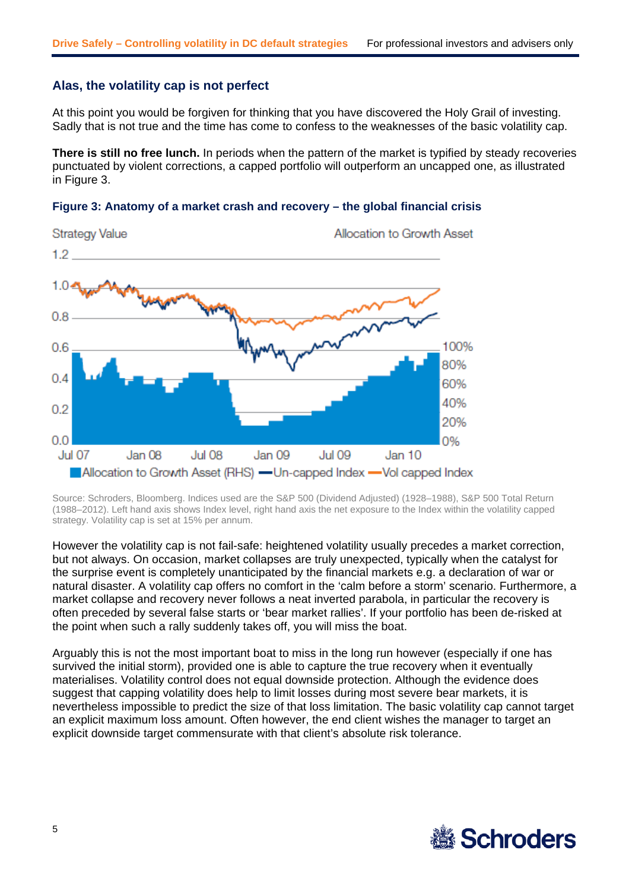#### **Alas, the volatility cap is not perfect**

At this point you would be forgiven for thinking that you have discovered the Holy Grail of investing. Sadly that is not true and the time has come to confess to the weaknesses of the basic volatility cap.

**There is still no free lunch.** In periods when the pattern of the market is typified by steady recoveries punctuated by violent corrections, a capped portfolio will outperform an uncapped one, as illustrated in Figure 3.





Source: Schroders, Bloomberg. Indices used are the S&P 500 (Dividend Adjusted) (1928–1988), S&P 500 Total Return (1988–2012). Left hand axis shows Index level, right hand axis the net exposure to the Index within the volatility capped strategy. Volatility cap is set at 15% per annum.

However the volatility cap is not fail-safe: heightened volatility usually precedes a market correction, but not always. On occasion, market collapses are truly unexpected, typically when the catalyst for the surprise event is completely unanticipated by the financial markets e.g. a declaration of war or natural disaster. A volatility cap offers no comfort in the 'calm before a storm' scenario. Furthermore, a market collapse and recovery never follows a neat inverted parabola, in particular the recovery is often preceded by several false starts or 'bear market rallies'. If your portfolio has been de-risked at the point when such a rally suddenly takes off, you will miss the boat.

Arguably this is not the most important boat to miss in the long run however (especially if one has survived the initial storm), provided one is able to capture the true recovery when it eventually materialises. Volatility control does not equal downside protection. Although the evidence does suggest that capping volatility does help to limit losses during most severe bear markets, it is nevertheless impossible to predict the size of that loss limitation. The basic volatility cap cannot target an explicit maximum loss amount. Often however, the end client wishes the manager to target an explicit downside target commensurate with that client's absolute risk tolerance.